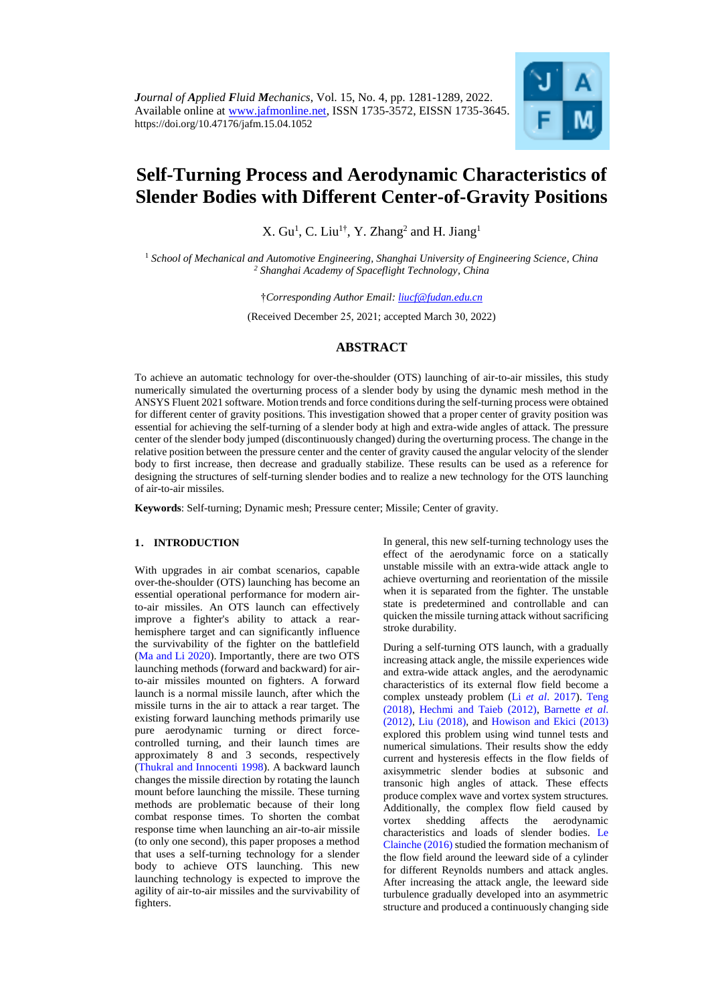

# **Self-Turning Process and Aerodynamic Characteristics of Slender Bodies with Different Center-of-Gravity Positions**

X.  $Gu<sup>1</sup>$ , C. Liu<sup>1†</sup>, Y. Zhang<sup>2</sup> and H. Jiang<sup>1</sup>

<sup>1</sup> *School of Mechanical and Automotive Engineering, Shanghai University of Engineering Science, China <sup>2</sup> Shanghai Academy of Spaceflight Technology, China*

†*Corresponding Author Email: [liucf@fudan.edu.cn](mailto:liucf@fudan.edu.cn)*

(Received December *25*, 202*1*; accepted March *30*, 2022)

# **ABSTRACT**

To achieve an automatic technology for over-the-shoulder (OTS) launching of air-to-air missiles, this study numerically simulated the overturning process of a slender body by using the dynamic mesh method in the ANSYS Fluent 2021 software. Motion trends and force conditions during the self-turning process were obtained for different center of gravity positions. This investigation showed that a proper center of gravity position was essential for achieving the self-turning of a slender body at high and extra-wide angles of attack. The pressure center of the slender body jumped (discontinuously changed) during the overturning process. The change in the relative position between the pressure center and the center of gravity caused the angular velocity of the slender body to first increase, then decrease and gradually stabilize. These results can be used as a reference for designing the structures of self-turning slender bodies and to realize a new technology for the OTS launching of air-to-air missiles.

**Keywords**: Self-turning; Dynamic mesh; Pressure center; Missile; Center of gravity.

# **1**. **INTRODUCTION**

With upgrades in air combat scenarios, capable over-the-shoulder (OTS) launching has become an essential operational performance for modern airto-air missiles. An OTS launch can effectively improve a fighter's ability to attack a rearhemisphere target and can significantly influence the survivability of the fighter on the battlefield (Ma [and Li](#page-8-0) 2020). Importantly, there are two OTS launching methods (forward and backward) for airto-air missiles mounted on fighters. A forward launch is a normal missile launch, after which the missile turns in the air to attack a rear target. The existing forward launching methods primarily use pure aerodynamic turning or direct forcecontrolled turning, and their launch times are approximately 8 and 3 seconds, respectively (Thukral [and Innocenti 1998\)](#page-8-1). A backward launch changes the missile direction by rotating the launch mount before launching the missile. These turning methods are problematic because of their long combat response times. To shorten the combat response time when launching an air-to-air missile (to only one second), this paper proposes a method that uses a self-turning technology for a slender body to achieve OTS launching. This new launching technology is expected to improve the agility of air-to-air missiles and the survivability of fighters.

In general, this new self-turning technology uses the effect of the aerodynamic force on a statically unstable missile with an extra-wide attack angle to achieve overturning and reorientation of the missile when it is separated from the fighter. The unstable state is predetermined and controllable and can quicken the missile turning attack without sacrificing stroke durability.

During a self-turning OTS launch, with a gradually increasing attack angle, the missile experiences wide and extra-wide attack angles, and the aerodynamic characteristics of its external flow field become a complex unsteady problem (Li *et al*[. 2017\)](#page-8-2). [Teng](#page-8-3)  [\(2018\),](#page-8-3) [Hechmi and Taieb \(2012\),](#page-7-0) [Barnette](#page-7-1) *et al*. [\(2012\),](#page-7-1) [Liu \(2018\),](#page-8-4) and [Howison and Ekici \(2013\)](#page-7-2) explored this problem using wind tunnel tests and numerical simulations. Their results show the eddy current and hysteresis effects in the flow fields of axisymmetric slender bodies at subsonic and transonic high angles of attack. These effects produce complex wave and vortex system structures. Additionally, the complex flow field caused by vortex shedding affects the aerodynamic characteristics and loads of slender bodies. [Le](#page-8-5)  [Clainche \(2016\)](#page-8-5) studied the formation mechanism of the flow field around the leeward side of a cylinder for different Reynolds numbers and attack angles. After increasing the attack angle, the leeward side turbulence gradually developed into an asymmetric structure and produced a continuously changing side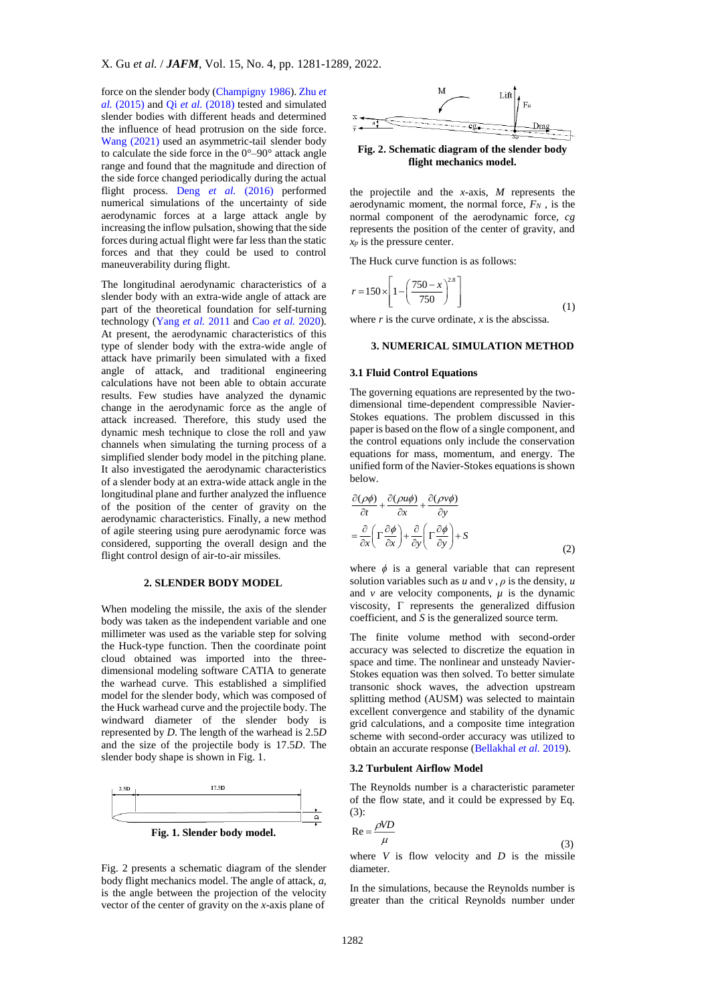force on the slender body [\(Champigny 1986\)](#page-7-3)[. Zhu](#page-8-6) *et al.* [\(2015\)](#page-8-6) and Qi *et al.* [\(2018\)](#page-8-7) tested and simulated slender bodies with different heads and determined the influence of head protrusion on the side force. [Wang \(2021\)](#page-8-8) used an asymmetric-tail slender body to calculate the side force in the 0°–90° attack angle range and found that the magnitude and direction of the side force changed periodically during the actual flight process. Deng *et al.* [\(2016\)](#page-7-4) performed numerical simulations of the uncertainty of side aerodynamic forces at a large attack angle by increasing the inflow pulsation, showing that the side forces during actual flight were far less than the static forces and that they could be used to control maneuverability during flight.

The longitudinal aerodynamic characteristics of a slender body with an extra-wide angle of attack are part of the theoretical foundation for self-turning technology [\(Yang](#page-8-9) *et al.* 2011 and Cao *et al.* [2020\)](#page-7-5). At present, the aerodynamic characteristics of this type of slender body with the extra-wide angle of attack have primarily been simulated with a fixed angle of attack, and traditional engineering calculations have not been able to obtain accurate results. Few studies have analyzed the dynamic change in the aerodynamic force as the angle of attack increased. Therefore, this study used the dynamic mesh technique to close the roll and yaw channels when simulating the turning process of a simplified slender body model in the pitching plane. It also investigated the aerodynamic characteristics of a slender body at an extra-wide attack angle in the longitudinal plane and further analyzed the influence of the position of the center of gravity on the aerodynamic characteristics. Finally, a new method of agile steering using pure aerodynamic force was considered, supporting the overall design and the flight control design of air-to-air missiles.

# **2. SLENDER BODY MODEL**

When modeling the missile, the axis of the slender body was taken as the independent variable and one millimeter was used as the variable step for solving the Huck-type function. Then the coordinate point cloud obtained was imported into the threedimensional modeling software CATIA to generate the warhead curve. This established a simplified model for the slender body, which was composed of the Huck warhead curve and the projectile body. The windward diameter of the slender body is represented by *D*. The length of the warhead is 2.5*D* and the size of the projectile body is 17.5*D*. The slender body shape is shown in Fig. 1.



Fig. 2 presents a schematic diagram of the slender body flight mechanics model. The angle of attack, *a,* is the angle between the projection of the velocity vector of the center of gravity on the *x*-axis plane of



**Fig. 2. Schematic diagram of the slender body flight mechanics model.**

the projectile and the *x*-axis, *M* represents the aerodynamic moment, the normal force, *F<sup>N</sup>* , is the normal component of the aerodynamic force, *cg* represents the position of the center of gravity, and *x<sup>p</sup>* is the pressure center.

The Huck curve function is as follows:

$$
r = 150 \times \left[1 - \left(\frac{750 - x}{750}\right)^{28}\right]
$$
 (1)

where  $r$  is the curve ordinate,  $x$  is the abscissa.

# **3. NUMERICAL SIMULATION METHOD**

#### **3.1 Fluid Control Equations**

The governing equations are represented by the twodimensional time-dependent compressible Navier-Stokes equations. The problem discussed in this paper is based on the flow of a single component, and the control equations only include the conservation equations for mass, momentum, and energy. The unified form of the Navier-Stokes equations is shown below.

$$
\frac{\partial(\rho\phi)}{\partial t} + \frac{\partial(\rho u\phi)}{\partial x} + \frac{\partial(\rho v\phi)}{\partial y}
$$
  
=  $\frac{\partial}{\partial x} \left( \Gamma \frac{\partial \phi}{\partial x} \right) + \frac{\partial}{\partial y} \left( \Gamma \frac{\partial \phi}{\partial y} \right) + S$  (2)

where *ϕ* is a general variable that can represent solution variables such as  $u$  and  $v$ ,  $\rho$  is the density,  $u$ and  $\nu$  are velocity components,  $\mu$  is the dynamic viscosity, Γ represents the generalized diffusion coefficient, and *S* is the generalized source term.

The finite volume method with second-order accuracy was selected to discretize the equation in space and time. The nonlinear and unsteady Navier-Stokes equation was then solved. To better simulate transonic shock waves, the advection upstream splitting method (AUSM) was selected to maintain excellent convergence and stability of the dynamic grid calculations, and a composite time integration scheme with second-order accuracy was utilized to obtain an accurate response [\(Bellakhal](#page-7-6) *et al.* 2019).

#### **3.2 Turbulent Airflow Model**

The Reynolds number is a characteristic parameter of the flow state, and it could be expressed by Eq. (3):

$$
Re = \frac{\rho V D}{\mu}
$$
 (3)

where  $V$  is flow velocity and  $D$  is the missile diameter.

In the simulations, because the Reynolds number is greater than the critical Reynolds number under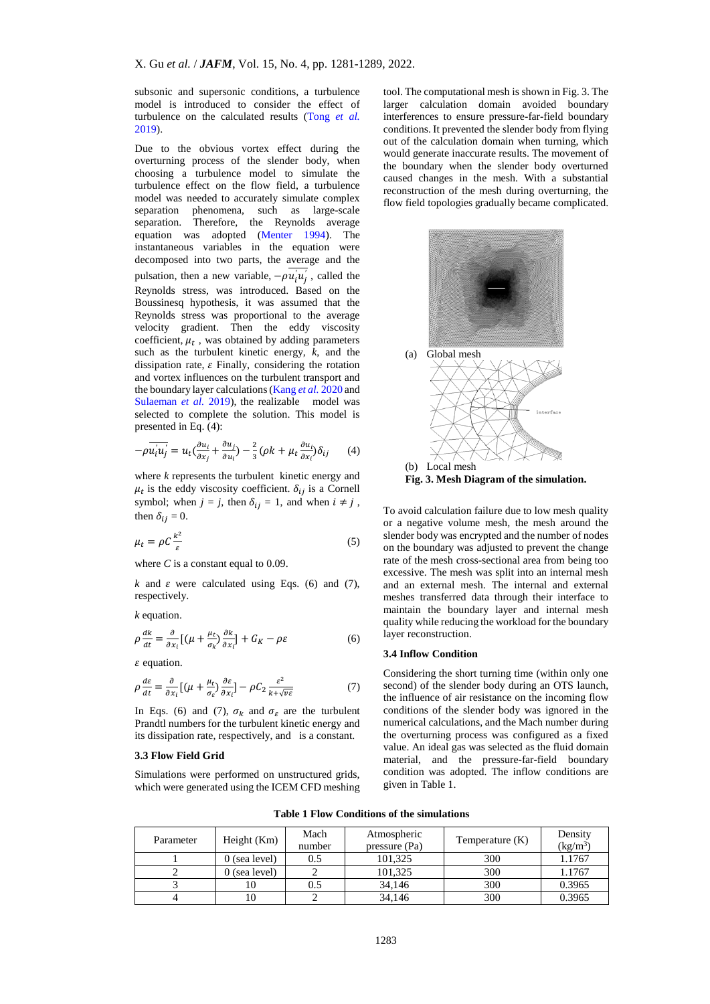subsonic and supersonic conditions, a turbulence model is introduced to consider the effect of turbulence on the calculated results [\(Tong](#page-8-10) *et al.* [2019\)](#page-8-10).

Due to the obvious vortex effect during the overturning process of the slender body, when choosing a turbulence model to simulate the turbulence effect on the flow field, a turbulence model was needed to accurately simulate complex separation phenomena, such as large-scale separation. Therefore, the Reynolds average equation was adopted [\(Menter 1994\)](#page-8-11). The instantaneous variables in the equation were decomposed into two parts, the average and the pulsation, then a new variable,  $-\rho u_i' u_j'$ , called the Reynolds stress, was introduced. Based on the Boussinesq hypothesis, it was assumed that the Reynolds stress was proportional to the average velocity gradient. Then the eddy viscosity coefficient,  $\mu_t$ , was obtained by adding parameters such as the turbulent kinetic energy, *k*, and the dissipation rate,  $\varepsilon$  Finally, considering the rotation and vortex influences on the turbulent transport and the boundary layer calculations [\(Kang](#page-7-7) *et al.* 2020 and [Sulaeman](#page-8-12) *et al.* 2019), the realizable model was selected to complete the solution. This model is presented in Eq. (4):

$$
-\rho \overline{u_i' u_j'} = u_t \left(\frac{\partial u_i}{\partial x_j} + \frac{\partial u_j}{\partial u_i}\right) - \frac{2}{3} (\rho k + \mu_t \frac{\partial u_i}{\partial x_i}) \delta_{ij}
$$
 (4)

where *k* represents the turbulent kinetic energy and  $\mu_t$  is the eddy viscosity coefficient.  $\delta_{ij}$  is a Cornell symbol; when  $j = j$ , then  $\delta_{ij} = 1$ , and when  $i \neq j$ , then  $\delta_{ij} = 0$ .

$$
\mu_t = \rho C \frac{k^2}{\varepsilon} \tag{5}
$$

where *C* is a constant equal to 0.09.

 $k$  and  $\varepsilon$  were calculated using Eqs. (6) and (7), respectively.

*k* equation.

$$
\rho \frac{dk}{dt} = \frac{\partial}{\partial x_i} \left[ \left( \mu + \frac{\mu_t}{\sigma_k} \right) \frac{\partial k}{\partial x_i} \right] + G_K - \rho \varepsilon \tag{6}
$$

 $\varepsilon$  equation.

$$
\rho \frac{d\varepsilon}{dt} = \frac{\partial}{\partial x_i} \left[ \left( \mu + \frac{\mu_t}{\sigma_\varepsilon} \right) \frac{\partial \varepsilon}{\partial x_i} \right] - \rho C_2 \frac{\varepsilon^2}{k + \sqrt{\nu \varepsilon}} \tag{7}
$$

In Eqs. (6) and (7),  $\sigma_k$  and  $\sigma_{\varepsilon}$  are the turbulent Prandtl numbers for the turbulent kinetic energy and its dissipation rate, respectively, and is a constant.

#### **3.3 Flow Field Grid**

Simulations were performed on unstructured grids, which were generated using the ICEM CFD meshing tool. The computational mesh is shown in Fig. 3. The larger calculation domain avoided boundary interferences to ensure pressure-far-field boundary conditions. It prevented the slender body from flying out of the calculation domain when turning, which would generate inaccurate results. The movement of the boundary when the slender body overturned caused changes in the mesh. With a substantial reconstruction of the mesh during overturning, the flow field topologies gradually became complicated.



To avoid calculation failure due to low mesh quality or a negative volume mesh, the mesh around the slender body was encrypted and the number of nodes on the boundary was adjusted to prevent the change rate of the mesh cross-sectional area from being too excessive. The mesh was split into an internal mesh and an external mesh. The internal and external meshes transferred data through their interface to maintain the boundary layer and internal mesh quality while reducing the workload for the boundary layer reconstruction.

# **3.4 Inflow Condition**

Considering the short turning time (within only one second) of the slender body during an OTS launch, the influence of air resistance on the incoming flow conditions of the slender body was ignored in the numerical calculations, and the Mach number during the overturning process was configured as a fixed value. An ideal gas was selected as the fluid domain material, and the pressure-far-field boundary condition was adopted. The inflow conditions are given in Table 1.

**Table 1 Flow Conditions of the simulations**

| Parameter | Height $(Km)$   | Mach<br>number | Atmospheric<br>pressure (Pa) | Temperature $(K)$ | Density<br>$(kg/m^3)$ |
|-----------|-----------------|----------------|------------------------------|-------------------|-----------------------|
|           | $0$ (sea level) | 0.5            | 101,325                      | 300               | 1.1767                |
|           | $0$ (sea level) |                | 101.325                      | 300               | 1.1767                |
|           | 10              | 0.5            | 34.146                       | 300               | 0.3965                |
|           | 10              |                | 34,146                       | 300               | 0.3965                |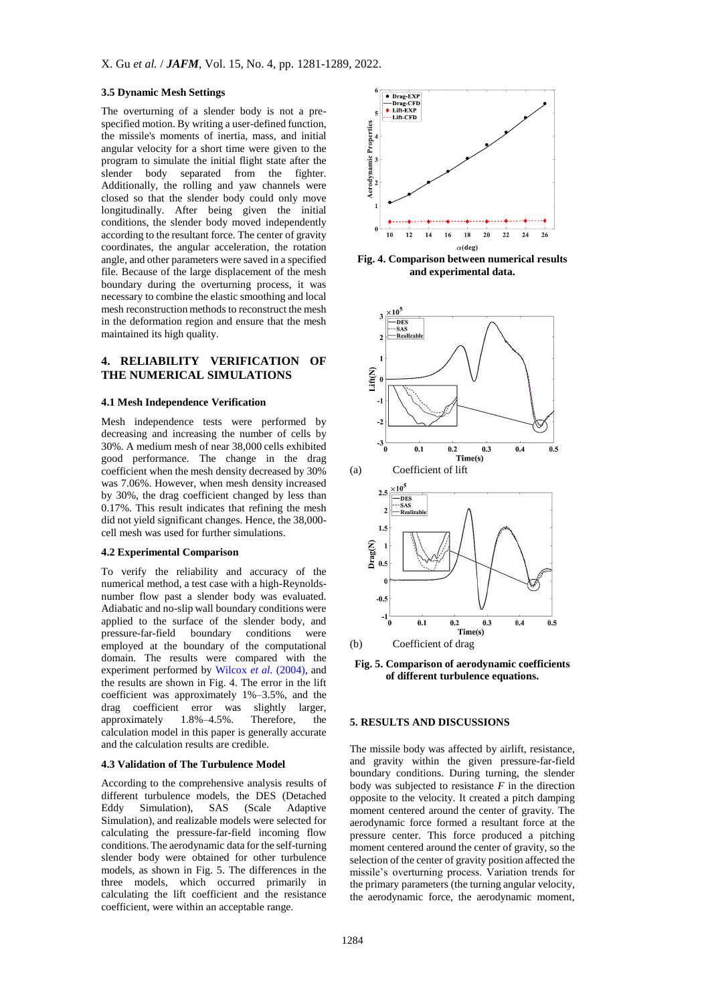## **3.5 Dynamic Mesh Settings**

The overturning of a slender body is not a prespecified motion. By writing a user-defined function, the missile's moments of inertia, mass, and initial angular velocity for a short time were given to the program to simulate the initial flight state after the slender body separated from the fighter. Additionally, the rolling and yaw channels were closed so that the slender body could only move longitudinally. After being given the initial conditions, the slender body moved independently according to the resultant force. The center of gravity coordinates, the angular acceleration, the rotation angle, and other parameters were saved in a specified file. Because of the large displacement of the mesh boundary during the overturning process, it was necessary to combine the elastic smoothing and local mesh reconstruction methods to reconstruct the mesh in the deformation region and ensure that the mesh maintained its high quality.

# **4. RELIABILITY VERIFICATION OF THE NUMERICAL SIMULATIONS**

## **4.1 Mesh Independence Verification**

Mesh independence tests were performed by decreasing and increasing the number of cells by 30%. A medium mesh of near 38,000 cells exhibited good performance. The change in the drag coefficient when the mesh density decreased by 30% was 7.06%. However, when mesh density increased by 30%, the drag coefficient changed by less than 0.17%. This result indicates that refining the mesh did not yield significant changes. Hence, the 38,000 cell mesh was used for further simulations.

#### **4.2 Experimental Comparison**

To verify the reliability and accuracy of the numerical method, a test case with a high-Reynoldsnumber flow past a slender body was evaluated. Adiabatic and no-slip wall boundary conditions were applied to the surface of the slender body, and pressure-far-field boundary conditions were employed at the boundary of the computational domain. The results were compared with the experiment performed by [Wilcox](#page-8-8) *et al.* (2004), and the results are shown in Fig. 4. The error in the lift coefficient was approximately 1%–3.5%, and the drag coefficient error was slightly larger, approximately 1.8%–4.5%. Therefore, the calculation model in this paper is generally accurate and the calculation results are credible.

#### **4.3 Validation of The Turbulence Model**

According to the comprehensive analysis results of different turbulence models, the DES (Detached Eddy Simulation), SAS (Scale Adaptive Eddy Simulation), SAS (Scale Adaptive Simulation), and realizable models were selected for calculating the pressure-far-field incoming flow conditions. The aerodynamic data for the self-turning slender body were obtained for other turbulence models, as shown in Fig. 5. The differences in the three models, which occurred primarily in calculating the lift coefficient and the resistance coefficient, were within an acceptable range.



**Fig. 4. Comparison between numerical results and experimental data.**



**Fig. 5. Comparison of aerodynamic coefficients of different turbulence equations.**

## **5. RESULTS AND DISCUSSIONS**

The missile body was affected by airlift, resistance, and gravity within the given pressure-far-field boundary conditions. During turning, the slender body was subjected to resistance  $F$  in the direction opposite to the velocity. It created a pitch damping moment centered around the center of gravity. The aerodynamic force formed a resultant force at the pressure center. This force produced a pitching moment centered around the center of gravity, so the selection of the center of gravity position affected the missile's overturning process. Variation trends for the primary parameters (the turning angular velocity, the aerodynamic force, the aerodynamic moment,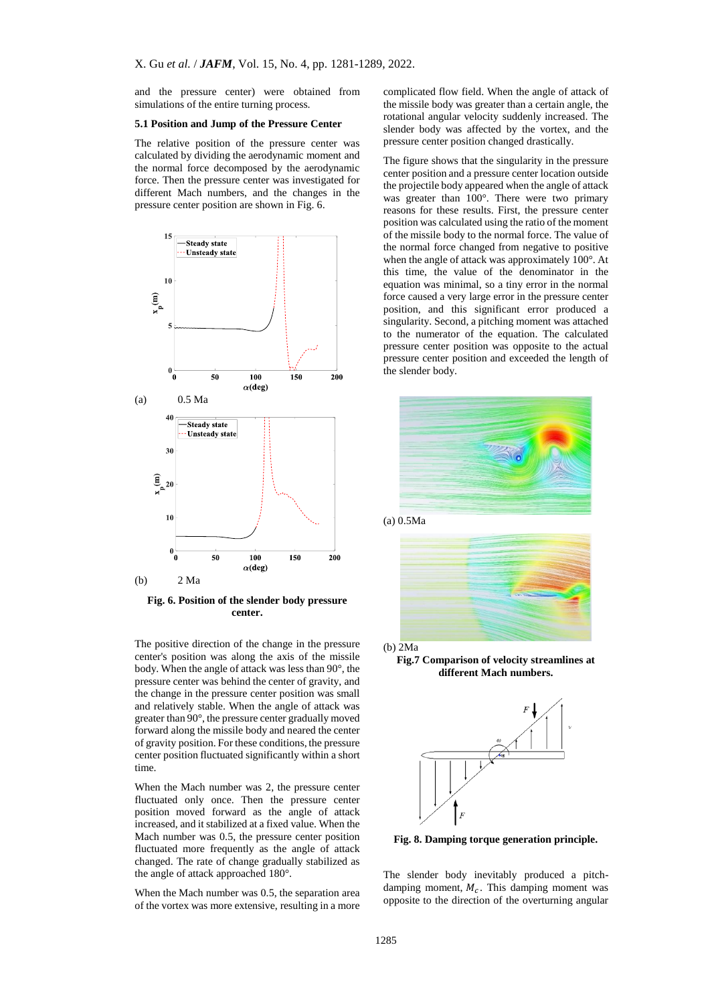and the pressure center) were obtained from simulations of the entire turning process.

#### **5.1 Position and Jump of the Pressure Center**

The relative position of the pressure center was calculated by dividing the aerodynamic moment and the normal force decomposed by the aerodynamic force. Then the pressure center was investigated for different Mach numbers, and the changes in the pressure center position are shown in Fig. 6.



**Fig. 6. Position of the slender body pressure center.**

The positive direction of the change in the pressure center's position was along the axis of the missile body. When the angle of attack was less than 90°, the pressure center was behind the center of gravity, and the change in the pressure center position was small and relatively stable. When the angle of attack was greater than 90°, the pressure center gradually moved forward along the missile body and neared the center of gravity position. For these conditions, the pressure center position fluctuated significantly within a short time.

When the Mach number was 2, the pressure center fluctuated only once. Then the pressure center position moved forward as the angle of attack increased, and it stabilized at a fixed value. When the Mach number was 0.5, the pressure center position fluctuated more frequently as the angle of attack changed. The rate of change gradually stabilized as the angle of attack approached 180°.

When the Mach number was 0.5, the separation area of the vortex was more extensive, resulting in a more complicated flow field. When the angle of attack of the missile body was greater than a certain angle, the rotational angular velocity suddenly increased. The slender body was affected by the vortex, and the pressure center position changed drastically.

The figure shows that the singularity in the pressure center position and a pressure center location outside the projectile body appeared when the angle of attack was greater than 100°. There were two primary reasons for these results. First, the pressure center position was calculated using the ratio of the moment of the missile body to the normal force. The value of the normal force changed from negative to positive when the angle of attack was approximately 100°. At this time, the value of the denominator in the equation was minimal, so a tiny error in the normal force caused a very large error in the pressure center position, and this significant error produced a singularity. Second, a pitching moment was attached to the numerator of the equation. The calculated pressure center position was opposite to the actual pressure center position and exceeded the length of the slender body.



(a) 0.5Ma





**Fig.7 Comparison of velocity streamlines at different Mach numbers.**



**Fig. 8. Damping torque generation principle.**

The slender body inevitably produced a pitchdamping moment,  $M_c$ . This damping moment was opposite to the direction of the overturning angular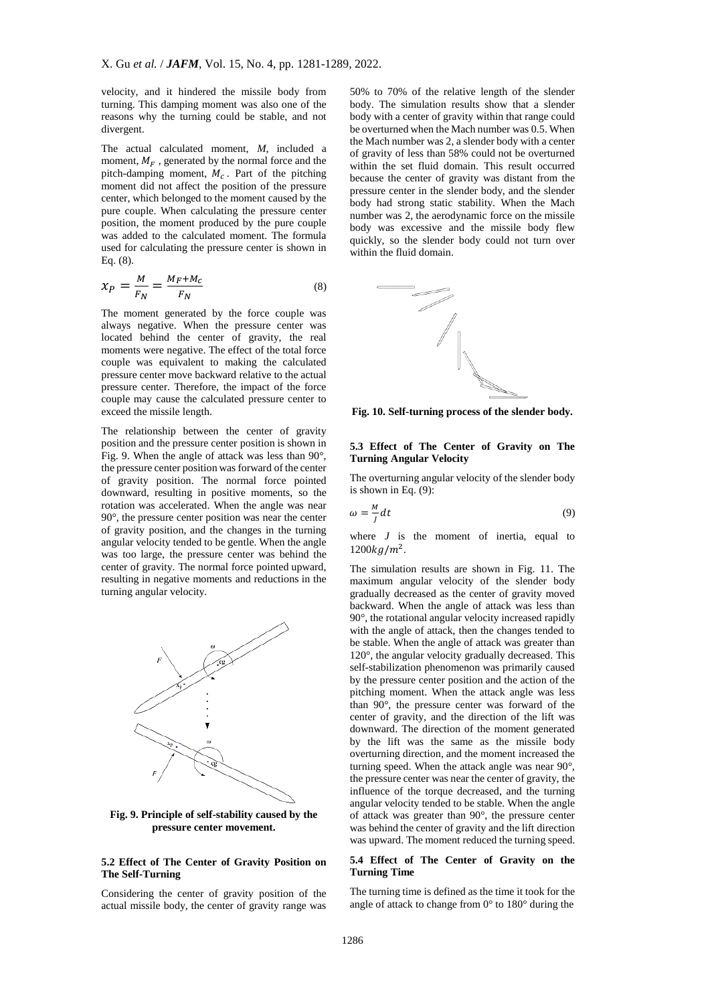velocity, and it hindered the missile body from turning. This damping moment was also one of the reasons why the turning could be stable, and not divergent.

The actual calculated moment, *M*, included a moment,  $M_F$ , generated by the normal force and the pitch-damping moment,  $M_c$ . Part of the pitching moment did not affect the position of the pressure center, which belonged to the moment caused by the pure couple. When calculating the pressure center position, the moment produced by the pure couple was added to the calculated moment. The formula used for calculating the pressure center is shown in Eq. (8).

$$
x_P = \frac{M}{F_N} = \frac{M_F + M_C}{F_N} \tag{8}
$$

The moment generated by the force couple was always negative. When the pressure center was located behind the center of gravity, the real moments were negative. The effect of the total force couple was equivalent to making the calculated pressure center move backward relative to the actual pressure center. Therefore, the impact of the force couple may cause the calculated pressure center to exceed the missile length.

The relationship between the center of gravity position and the pressure center position is shown in Fig. 9. When the angle of attack was less than 90°, the pressure center position was forward of the center of gravity position. The normal force pointed downward, resulting in positive moments, so the rotation was accelerated. When the angle was near 90°, the pressure center position was near the center of gravity position, and the changes in the turning angular velocity tended to be gentle. When the angle was too large, the pressure center was behind the center of gravity. The normal force pointed upward, resulting in negative moments and reductions in the turning angular velocity.



**Fig. 9. Principle of self-stability caused by the pressure center movement.**

# **5.2 Effect of The Center of Gravity Position on The Self-Turning**

Considering the center of gravity position of the actual missile body, the center of gravity range was

50% to 70% of the relative length of the slender body. The simulation results show that a slender body with a center of gravity within that range could be overturned when the Mach number was 0.5. When the Mach number was 2, a slender body with a center of gravity of less than 58% could not be overturned within the set fluid domain. This result occurred because the center of gravity was distant from the pressure center in the slender body, and the slender body had strong static stability. When the Mach number was 2, the aerodynamic force on the missile body was excessive and the missile body flew quickly, so the slender body could not turn over within the fluid domain.



**Fig. 10. Self-turning process of the slender body.**

# **5.3 Effect of The Center of Gravity on The Turning Angular Velocity**

The overturning angular velocity of the slender body is shown in Eq.  $(9)$ :

$$
\omega = -\frac{M}{J} dt \tag{9}
$$

where *J* is the moment of inertia, equal to  $1200 kg/m<sup>2</sup>$ .

The simulation results are shown in Fig. 11. The maximum angular velocity of the slender body gradually decreased as the center of gravity moved backward. When the angle of attack was less than 90°, the rotational angular velocity increased rapidly with the angle of attack, then the changes tended to be stable. When the angle of attack was greater than 120°, the angular velocity gradually decreased. This self-stabilization phenomenon was primarily caused by the pressure center position and the action of the pitching moment. When the attack angle was less than 90°, the pressure center was forward of the center of gravity, and the direction of the lift was downward. The direction of the moment generated by the lift was the same as the missile body overturning direction, and the moment increased the turning speed. When the attack angle was near 90°, the pressure center was near the center of gravity, the influence of the torque decreased, and the turning angular velocity tended to be stable. When the angle of attack was greater than 90°, the pressure center was behind the center of gravity and the lift direction was upward. The moment reduced the turning speed.

# **5.4 Effect of The Center of Gravity on the Turning Time**

The turning time is defined as the time it took for the angle of attack to change from 0° to 180° during the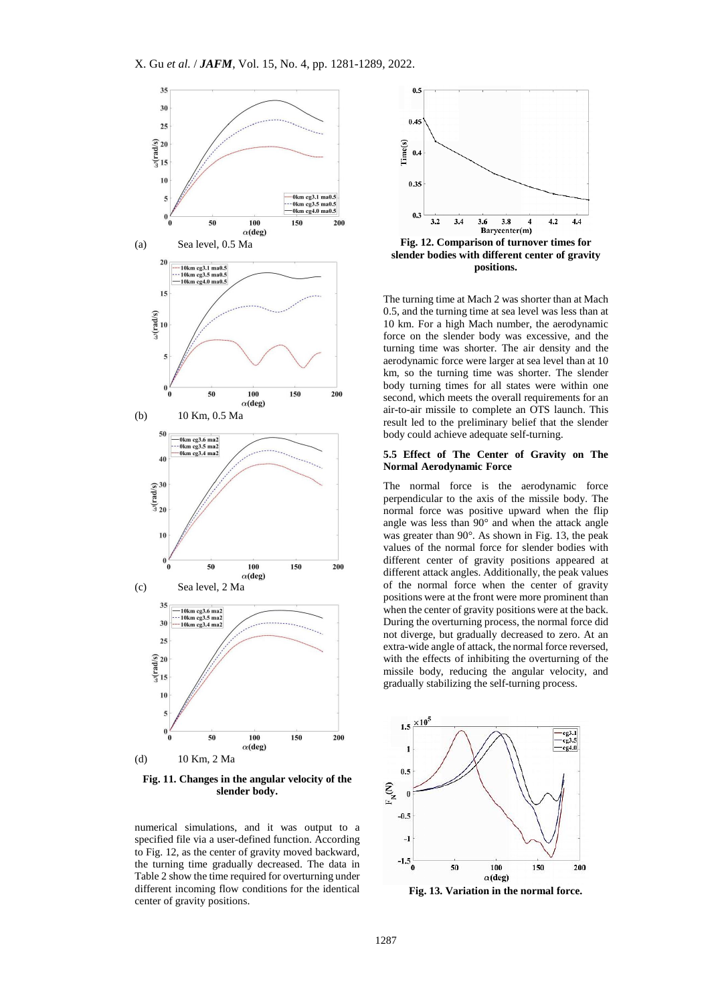

**Fig. 11. Changes in the angular velocity of the slender body.**

numerical simulations, and it was output to a specified file via a user-defined function. According to Fig. 12, as the center of gravity moved backward, the turning time gradually decreased. The data in Table 2 show the time required for overturning under different incoming flow conditions for the identical center of gravity positions.



**slender bodies with different center of gravity positions.**

The turning time at Mach 2 was shorter than at Mach 0.5, and the turning time at sea level was less than at 10 km. For a high Mach number, the aerodynamic force on the slender body was excessive, and the turning time was shorter. The air density and the aerodynamic force were larger at sea level than at 10 km, so the turning time was shorter. The slender body turning times for all states were within one second, which meets the overall requirements for an air-to-air missile to complete an OTS launch. This result led to the preliminary belief that the slender body could achieve adequate self-turning.

#### **5.5 Effect of The Center of Gravity on The Normal Aerodynamic Force**

The normal force is the aerodynamic force perpendicular to the axis of the missile body. The normal force was positive upward when the flip angle was less than 90° and when the attack angle was greater than 90°. As shown in Fig. 13, the peak values of the normal force for slender bodies with different center of gravity positions appeared at different attack angles. Additionally, the peak values of the normal force when the center of gravity positions were at the front were more prominent than when the center of gravity positions were at the back. During the overturning process, the normal force did not diverge, but gradually decreased to zero. At an extra-wide angle of attack, the normal force reversed, with the effects of inhibiting the overturning of the missile body, reducing the angular velocity, and gradually stabilizing the self-turning process.



**Fig. 13. Variation in the normal force.**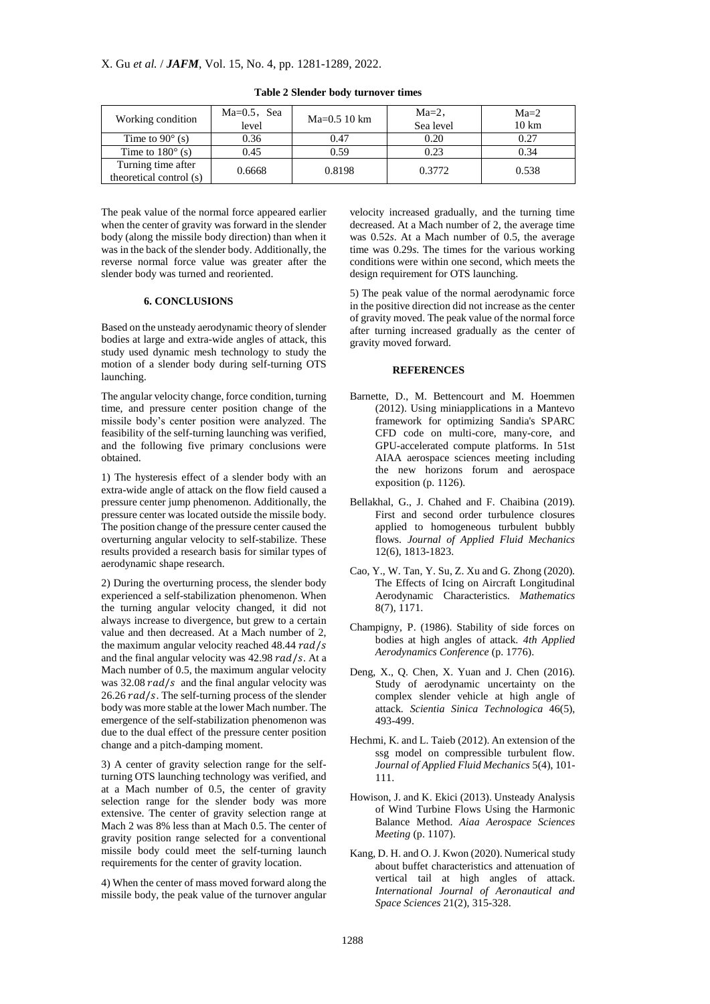| Working condition                             | $Ma=0.5$ , Sea<br>level | $Ma=0.510 \text{ km}$ | $Ma=2$ ,<br>Sea level | $Ma=2$<br>$10 \mathrm{km}$ |
|-----------------------------------------------|-------------------------|-----------------------|-----------------------|----------------------------|
| Time to $90^\circ$ (s)                        | 0.36                    | 0.47                  | 0.20                  | 0.27                       |
| Time to $180^\circ$ (s)                       | 0.45                    | 0.59                  | 0.23                  | 0.34                       |
| Turning time after<br>theoretical control (s) | 0.6668                  | 0.8198                | 0.3772                | 0.538                      |

**Table 2 Slender body turnover times**

The peak value of the normal force appeared earlier when the center of gravity was forward in the slender body (along the missile body direction) than when it was in the back of the slender body. Additionally, the reverse normal force value was greater after the slender body was turned and reoriented.

# **6. CONCLUSIONS**

Based on the unsteady aerodynamic theory of slender bodies at large and extra-wide angles of attack, this study used dynamic mesh technology to study the motion of a slender body during self-turning OTS launching.

The angular velocity change, force condition, turning time, and pressure center position change of the missile body's center position were analyzed. The feasibility of the self-turning launching was verified, and the following five primary conclusions were obtained.

1) The hysteresis effect of a slender body with an extra-wide angle of attack on the flow field caused a pressure center jump phenomenon. Additionally, the pressure center was located outside the missile body. The position change of the pressure center caused the overturning angular velocity to self-stabilize. These results provided a research basis for similar types of aerodynamic shape research.

2) During the overturning process, the slender body experienced a self-stabilization phenomenon. When the turning angular velocity changed, it did not always increase to divergence, but grew to a certain value and then decreased. At a Mach number of 2, the maximum angular velocity reached  $48.44 rad/s$ and the final angular velocity was  $42.98$   $rad/s$ . At a Mach number of 0.5, the maximum angular velocity was  $32.08$  rad/s and the final angular velocity was  $26.26$   $rad/s$ . The self-turning process of the slender body was more stable at the lower Mach number. The emergence of the self-stabilization phenomenon was due to the dual effect of the pressure center position change and a pitch-damping moment.

3) A center of gravity selection range for the selfturning OTS launching technology was verified, and at a Mach number of 0.5, the center of gravity selection range for the slender body was more extensive. The center of gravity selection range at Mach 2 was 8% less than at Mach 0.5. The center of gravity position range selected for a conventional missile body could meet the self-turning launch requirements for the center of gravity location.

4) When the center of mass moved forward along the missile body, the peak value of the turnover angular velocity increased gradually, and the turning time decreased. At a Mach number of 2, the average time was 0.52*s*. At a Mach number of 0.5, the average time was 0.29*s*. The times for the various working conditions were within one second, which meets the design requirement for OTS launching.

5) The peak value of the normal aerodynamic force in the positive direction did not increase as the center of gravity moved. The peak value of the normal force after turning increased gradually as the center of gravity moved forward.

#### **REFERENCES**

- <span id="page-7-1"></span>Barnette, D., M. Bettencourt and M. Hoemmen (2012). Using miniapplications in a Mantevo framework for optimizing Sandia's SPARC CFD code on multi-core, many-core, and GPU-accelerated compute platforms. In 51st AIAA aerospace sciences meeting including the new horizons forum and aerospace exposition (p. 1126).
- <span id="page-7-6"></span>Bellakhal, G., J. Chahed and F. Chaibina (2019). First and second order turbulence closures applied to homogeneous turbulent bubbly flows. *Journal of Applied Fluid Mechanics* 12(6), 1813-1823.
- <span id="page-7-5"></span>Cao, Y., W. Tan, Y. Su, Z. Xu and G. Zhong (2020). The Effects of Icing on Aircraft Longitudinal Aerodynamic Characteristics. *Mathematics* 8(7), 1171.
- <span id="page-7-3"></span>Champigny, P. (1986). Stability of side forces on bodies at high angles of attack. *4th Applied Aerodynamics Conference* (p. 1776).
- <span id="page-7-4"></span>Deng, X., Q. Chen, X. Yuan and J. Chen (2016). Study of aerodynamic uncertainty on the complex slender vehicle at high angle of attack. *Scientia Sinica Technologica* 46(5), 493-499.
- <span id="page-7-0"></span>Hechmi, K. and L. Taieb (2012). An extension of the ssg model on compressible turbulent flow. *Journal of Applied Fluid Mechanics* 5(4), 101- 111.
- <span id="page-7-2"></span>Howison, J. and K. Ekici (2013). Unsteady Analysis of Wind Turbine Flows Using the Harmonic Balance Method. *Aiaa Aerospace Sciences Meeting* (p. 1107).
- <span id="page-7-7"></span>Kang, D. H. and O. J. Kwon (2020). Numerical study about buffet characteristics and attenuation of vertical tail at high angles of attack. *International Journal of Aeronautical and Space Sciences* 21(2), 315-328.